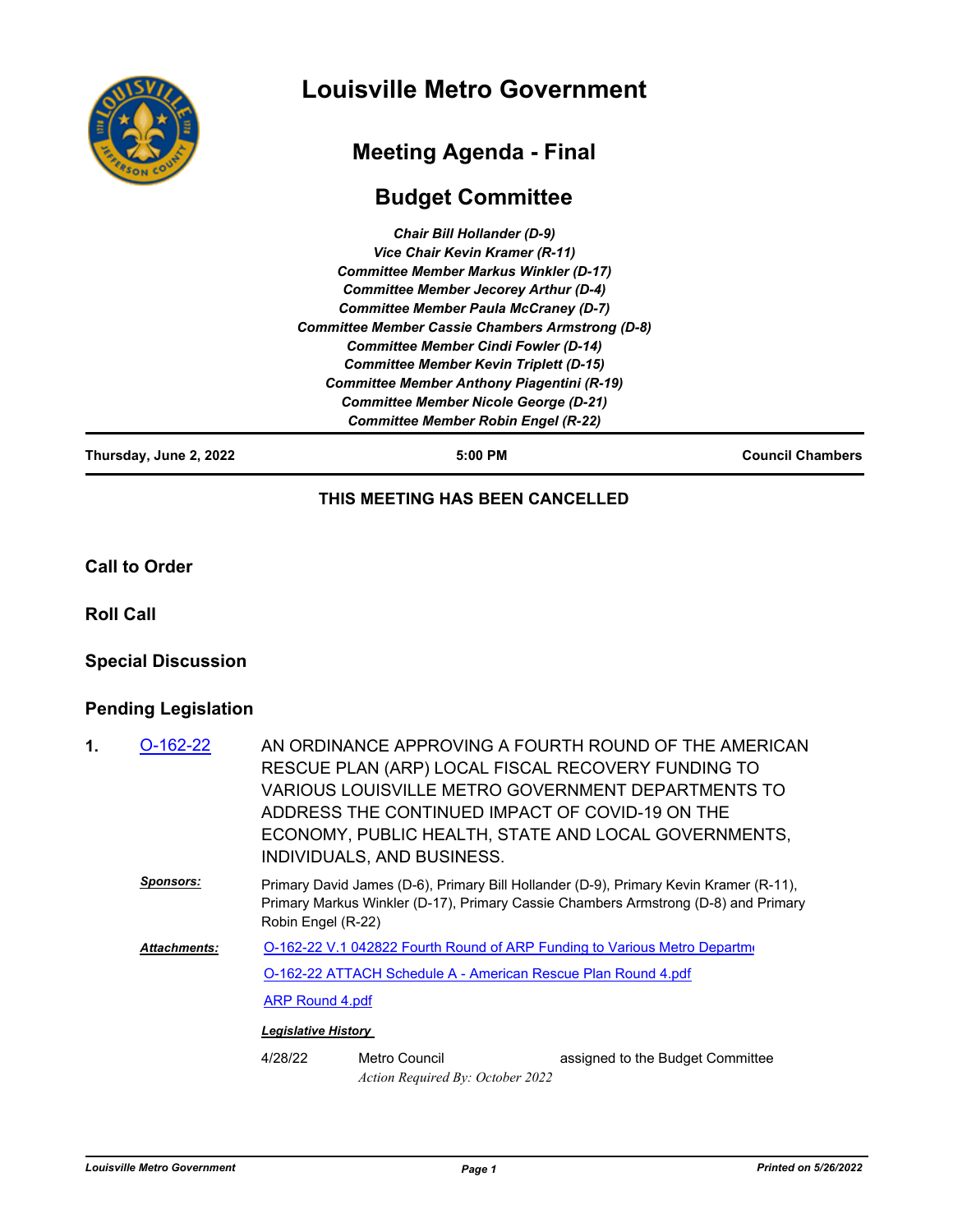

# **Louisville Metro Government**

## **Meeting Agenda - Final**

### **Budget Committee**

*Chair Bill Hollander (D-9) Vice Chair Kevin Kramer (R-11) Committee Member Markus Winkler (D-17) Committee Member Jecorey Arthur (D-4) Committee Member Paula McCraney (D-7) Committee Member Cassie Chambers Armstrong (D-8) Committee Member Cindi Fowler (D-14) Committee Member Kevin Triplett (D-15) Committee Member Anthony Piagentini (R-19) Committee Member Nicole George (D-21) Committee Member Robin Engel (R-22)*

**Thursday, June 2, 2022 5:00 PM Council Chambers**

#### **THIS MEETING HAS BEEN CANCELLED**

**Call to Order**

**Roll Call**

#### **Special Discussion**

#### **Pending Legislation**

| 1. | $O-162-22$       | AN ORDINANCE APPROVING A FOURTH ROUND OF THE AMERICAN<br>RESCUE PLAN (ARP) LOCAL FISCAL RECOVERY FUNDING TO                                                                                       |                                                   |                                  |  |  |
|----|------------------|---------------------------------------------------------------------------------------------------------------------------------------------------------------------------------------------------|---------------------------------------------------|----------------------------------|--|--|
|    |                  | VARIOUS LOUISVILLE METRO GOVERNMENT DEPARTMENTS TO<br>ADDRESS THE CONTINUED IMPACT OF COVID-19 ON THE<br>ECONOMY, PUBLIC HEALTH, STATE AND LOCAL GOVERNMENTS,<br>INDIVIDUALS, AND BUSINESS.       |                                                   |                                  |  |  |
|    | <u>Sponsors:</u> | Primary David James (D-6), Primary Bill Hollander (D-9), Primary Kevin Kramer (R-11),<br>Primary Markus Winkler (D-17), Primary Cassie Chambers Armstrong (D-8) and Primary<br>Robin Engel (R-22) |                                                   |                                  |  |  |
|    | Attachments:     | O-162-22 V.1 042822 Fourth Round of ARP Funding to Various Metro Departme                                                                                                                         |                                                   |                                  |  |  |
|    |                  | O-162-22 ATTACH Schedule A - American Rescue Plan Round 4.pdf                                                                                                                                     |                                                   |                                  |  |  |
|    |                  | <b>ARP Round 4.pdf</b>                                                                                                                                                                            |                                                   |                                  |  |  |
|    |                  | <b>Legislative History</b>                                                                                                                                                                        |                                                   |                                  |  |  |
|    |                  | 4/28/22                                                                                                                                                                                           | Metro Council<br>Action Required By: October 2022 | assigned to the Budget Committee |  |  |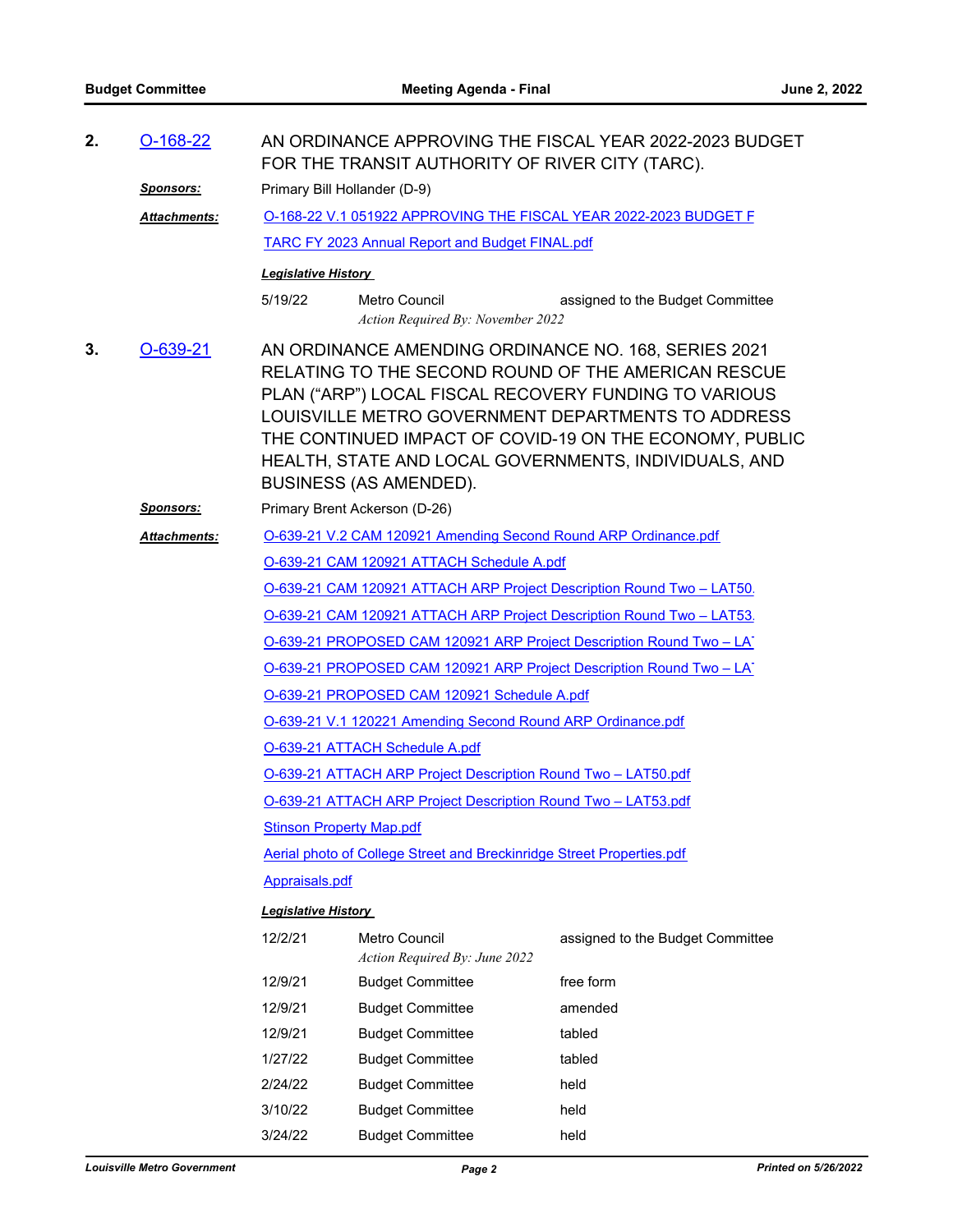| 2. | $O-168-22$          | AN ORDINANCE APPROVING THE FISCAL YEAR 2022-2023 BUDGET<br>FOR THE TRANSIT AUTHORITY OF RIVER CITY (TARC).                                                                                                                                                                                                                                                                      |                                                           |                                  |  |  |
|----|---------------------|---------------------------------------------------------------------------------------------------------------------------------------------------------------------------------------------------------------------------------------------------------------------------------------------------------------------------------------------------------------------------------|-----------------------------------------------------------|----------------------------------|--|--|
|    | <u>Sponsors:</u>    | Primary Bill Hollander (D-9)                                                                                                                                                                                                                                                                                                                                                    |                                                           |                                  |  |  |
|    | Attachments:        | O-168-22 V.1 051922 APPROVING THE FISCAL YEAR 2022-2023 BUDGET F                                                                                                                                                                                                                                                                                                                |                                                           |                                  |  |  |
|    |                     | TARC FY 2023 Annual Report and Budget FINAL.pdf                                                                                                                                                                                                                                                                                                                                 |                                                           |                                  |  |  |
|    |                     | <b>Legislative History</b>                                                                                                                                                                                                                                                                                                                                                      |                                                           |                                  |  |  |
|    |                     | 5/19/22                                                                                                                                                                                                                                                                                                                                                                         | <b>Metro Council</b><br>Action Required By: November 2022 | assigned to the Budget Committee |  |  |
| 3. | O-639-21            | AN ORDINANCE AMENDING ORDINANCE NO. 168, SERIES 2021<br>RELATING TO THE SECOND ROUND OF THE AMERICAN RESCUE<br>PLAN ("ARP") LOCAL FISCAL RECOVERY FUNDING TO VARIOUS<br>LOUISVILLE METRO GOVERNMENT DEPARTMENTS TO ADDRESS<br>THE CONTINUED IMPACT OF COVID-19 ON THE ECONOMY, PUBLIC<br>HEALTH, STATE AND LOCAL GOVERNMENTS, INDIVIDUALS, AND<br><b>BUSINESS (AS AMENDED).</b> |                                                           |                                  |  |  |
|    | <u>Sponsors:</u>    | Primary Brent Ackerson (D-26)                                                                                                                                                                                                                                                                                                                                                   |                                                           |                                  |  |  |
|    | <b>Attachments:</b> | O-639-21 V.2 CAM 120921 Amending Second Round ARP Ordinance.pdf                                                                                                                                                                                                                                                                                                                 |                                                           |                                  |  |  |
|    |                     | O-639-21 CAM 120921 ATTACH Schedule A.pdf                                                                                                                                                                                                                                                                                                                                       |                                                           |                                  |  |  |
|    |                     | O-639-21 CAM 120921 ATTACH ARP Project Description Round Two - LAT50.                                                                                                                                                                                                                                                                                                           |                                                           |                                  |  |  |
|    |                     | O-639-21 CAM 120921 ATTACH ARP Project Description Round Two - LAT53.                                                                                                                                                                                                                                                                                                           |                                                           |                                  |  |  |
|    |                     | O-639-21 PROPOSED CAM 120921 ARP Project Description Round Two - LAT                                                                                                                                                                                                                                                                                                            |                                                           |                                  |  |  |
|    |                     | O-639-21 PROPOSED CAM 120921 ARP Project Description Round Two - LAT                                                                                                                                                                                                                                                                                                            |                                                           |                                  |  |  |
|    |                     | O-639-21 PROPOSED CAM 120921 Schedule A.pdf                                                                                                                                                                                                                                                                                                                                     |                                                           |                                  |  |  |
|    |                     | O-639-21 V.1 120221 Amending Second Round ARP Ordinance.pdf                                                                                                                                                                                                                                                                                                                     |                                                           |                                  |  |  |
|    |                     | O-639-21 ATTACH Schedule A.pdf                                                                                                                                                                                                                                                                                                                                                  |                                                           |                                  |  |  |
|    |                     | O-639-21 ATTACH ARP Project Description Round Two - LAT50.pdf                                                                                                                                                                                                                                                                                                                   |                                                           |                                  |  |  |
|    |                     | O-639-21 ATTACH ARP Project Description Round Two - LAT53.pdf                                                                                                                                                                                                                                                                                                                   |                                                           |                                  |  |  |
|    |                     | <b>Stinson Property Map.pdf</b>                                                                                                                                                                                                                                                                                                                                                 |                                                           |                                  |  |  |
|    |                     | Aerial photo of College Street and Breckinridge Street Properties.pdf                                                                                                                                                                                                                                                                                                           |                                                           |                                  |  |  |
|    |                     | Appraisals.pdf                                                                                                                                                                                                                                                                                                                                                                  |                                                           |                                  |  |  |
|    |                     | <b>Legislative History</b>                                                                                                                                                                                                                                                                                                                                                      |                                                           |                                  |  |  |
|    |                     | 12/2/21                                                                                                                                                                                                                                                                                                                                                                         | Metro Council<br>Action Required By: June 2022            | assigned to the Budget Committee |  |  |
|    |                     | 12/9/21                                                                                                                                                                                                                                                                                                                                                                         | <b>Budget Committee</b>                                   | free form                        |  |  |
|    |                     | 12/9/21                                                                                                                                                                                                                                                                                                                                                                         | <b>Budget Committee</b>                                   | amended                          |  |  |
|    |                     | 12/9/21                                                                                                                                                                                                                                                                                                                                                                         | <b>Budget Committee</b>                                   | tabled                           |  |  |
|    |                     | 1/27/22                                                                                                                                                                                                                                                                                                                                                                         | <b>Budget Committee</b>                                   | tabled                           |  |  |
|    |                     | 2/24/22                                                                                                                                                                                                                                                                                                                                                                         | <b>Budget Committee</b>                                   | held                             |  |  |
|    |                     | 3/10/22                                                                                                                                                                                                                                                                                                                                                                         | <b>Budget Committee</b>                                   | held                             |  |  |
|    |                     | 3/24/22                                                                                                                                                                                                                                                                                                                                                                         | <b>Budget Committee</b>                                   | held                             |  |  |